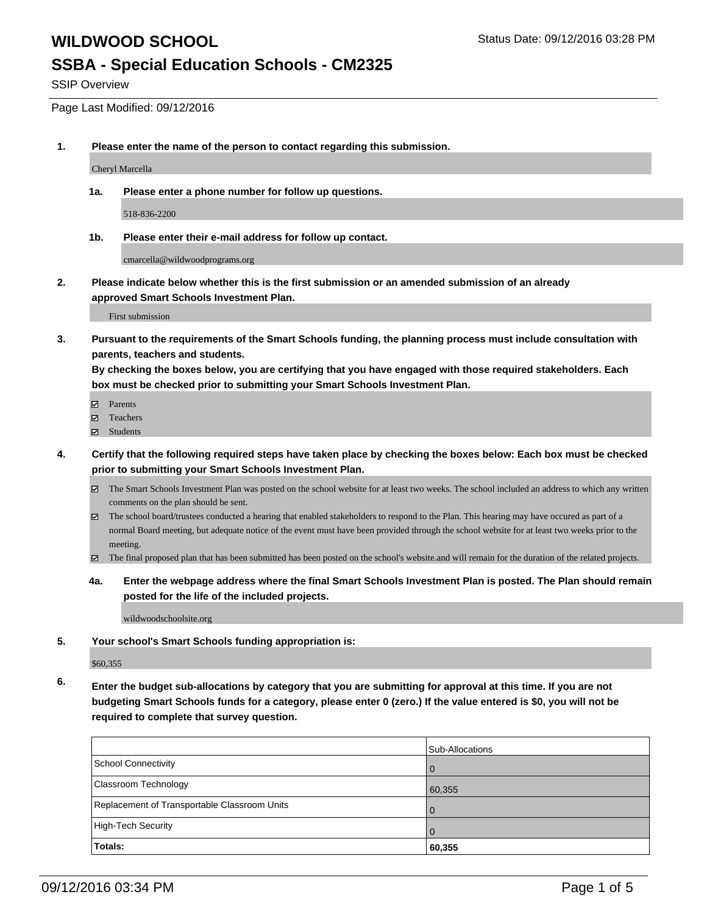### **WILDWOOD SCHOOL** SALLY AND STATUS STATUS DATE: 09/12/2016 03:28 PM

### **SSBA - Special Education Schools - CM2325**

SSIP Overview

Page Last Modified: 09/12/2016

**1. Please enter the name of the person to contact regarding this submission.**

Cheryl Marcella

**1a. Please enter a phone number for follow up questions.**

518-836-2200

**1b. Please enter their e-mail address for follow up contact.**

cmarcella@wildwoodprograms.org

**2. Please indicate below whether this is the first submission or an amended submission of an already approved Smart Schools Investment Plan.**

First submission

**3. Pursuant to the requirements of the Smart Schools funding, the planning process must include consultation with parents, teachers and students.**

**By checking the boxes below, you are certifying that you have engaged with those required stakeholders. Each box must be checked prior to submitting your Smart Schools Investment Plan.**

- **Parents**
- Teachers
- Students
- **4. Certify that the following required steps have taken place by checking the boxes below: Each box must be checked prior to submitting your Smart Schools Investment Plan.**
	- The Smart Schools Investment Plan was posted on the school website for at least two weeks. The school included an address to which any written comments on the plan should be sent.
	- $\boxtimes$  The school board/trustees conducted a hearing that enabled stakeholders to respond to the Plan. This hearing may have occured as part of a normal Board meeting, but adequate notice of the event must have been provided through the school website for at least two weeks prior to the meeting.
	- The final proposed plan that has been submitted has been posted on the school's website.and will remain for the duration of the related projects.
	- **4a. Enter the webpage address where the final Smart Schools Investment Plan is posted. The Plan should remain posted for the life of the included projects.**

wildwoodschoolsite.org

**5. Your school's Smart Schools funding appropriation is:**

\$60,355

**6. Enter the budget sub-allocations by category that you are submitting for approval at this time. If you are not budgeting Smart Schools funds for a category, please enter 0 (zero.) If the value entered is \$0, you will not be required to complete that survey question.**

|                                              | Sub-Allocations |
|----------------------------------------------|-----------------|
| <b>School Connectivity</b>                   |                 |
| Classroom Technology                         | 60,355          |
| Replacement of Transportable Classroom Units |                 |
| High-Tech Security                           |                 |
| Totals:                                      | 60,355          |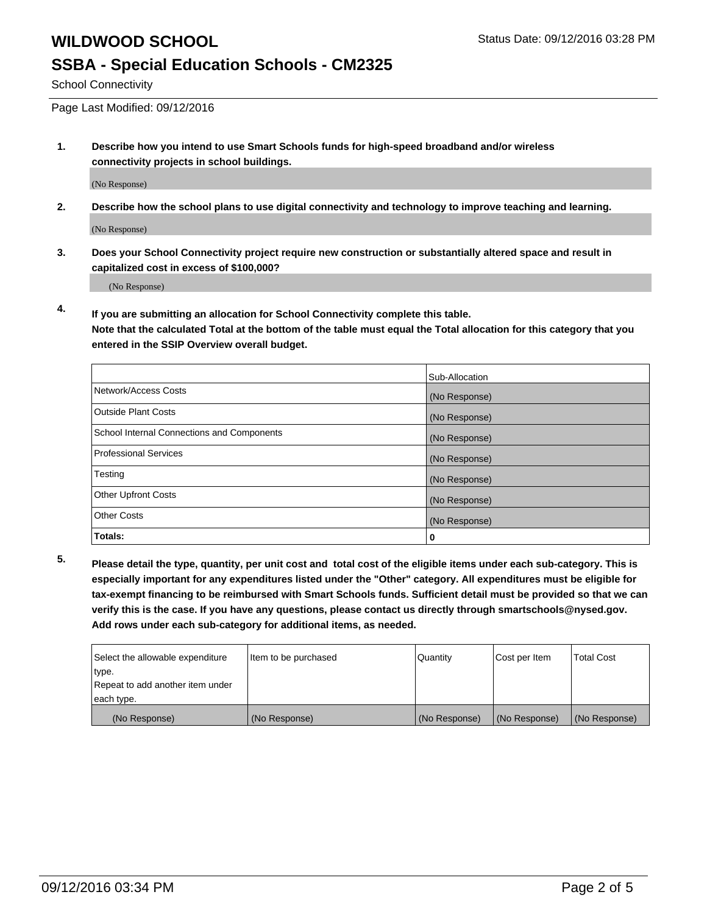School Connectivity

Page Last Modified: 09/12/2016

**1. Describe how you intend to use Smart Schools funds for high-speed broadband and/or wireless connectivity projects in school buildings.**

(No Response)

**2. Describe how the school plans to use digital connectivity and technology to improve teaching and learning.**

(No Response)

**3. Does your School Connectivity project require new construction or substantially altered space and result in capitalized cost in excess of \$100,000?**

(No Response)

**4. If you are submitting an allocation for School Connectivity complete this table.**

**Note that the calculated Total at the bottom of the table must equal the Total allocation for this category that you entered in the SSIP Overview overall budget.** 

|                                            | Sub-Allocation |
|--------------------------------------------|----------------|
| Network/Access Costs                       | (No Response)  |
| <b>Outside Plant Costs</b>                 | (No Response)  |
| School Internal Connections and Components | (No Response)  |
| Professional Services                      | (No Response)  |
| Testing                                    | (No Response)  |
| <b>Other Upfront Costs</b>                 | (No Response)  |
| <b>Other Costs</b>                         | (No Response)  |
| Totals:                                    | 0              |

**5. Please detail the type, quantity, per unit cost and total cost of the eligible items under each sub-category. This is especially important for any expenditures listed under the "Other" category. All expenditures must be eligible for tax-exempt financing to be reimbursed with Smart Schools funds. Sufficient detail must be provided so that we can verify this is the case. If you have any questions, please contact us directly through smartschools@nysed.gov. Add rows under each sub-category for additional items, as needed.**

| Select the allowable expenditure | Item to be purchased | l Quantitv    | Cost per Item | <b>Total Cost</b> |
|----------------------------------|----------------------|---------------|---------------|-------------------|
| type.                            |                      |               |               |                   |
| Repeat to add another item under |                      |               |               |                   |
| each type.                       |                      |               |               |                   |
| (No Response)                    | (No Response)        | (No Response) | (No Response) | (No Response)     |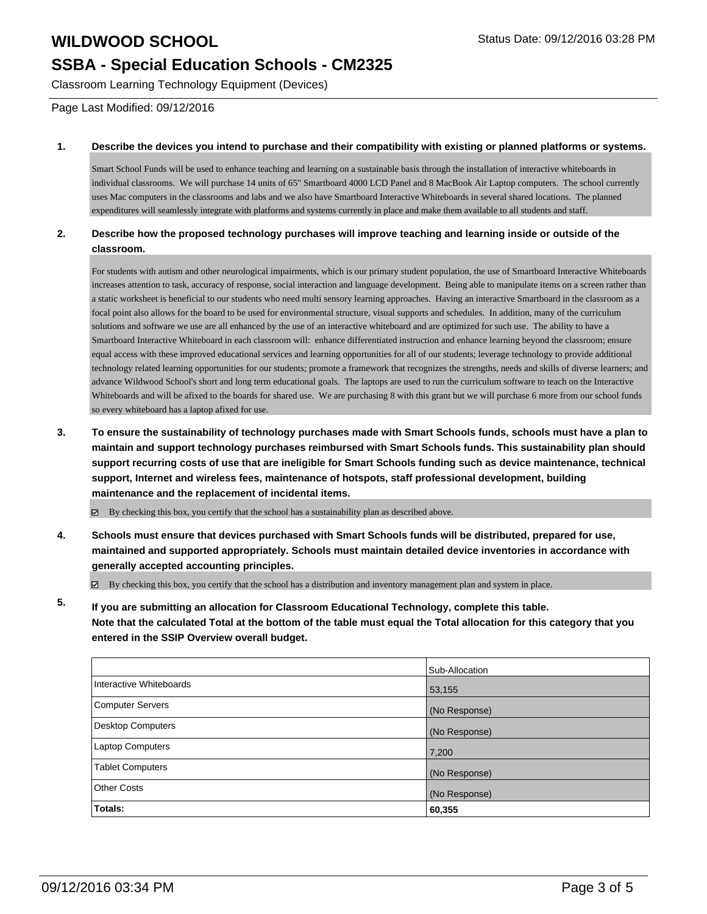# **SSBA - Special Education Schools - CM2325**

Classroom Learning Technology Equipment (Devices)

Page Last Modified: 09/12/2016

#### **1. Describe the devices you intend to purchase and their compatibility with existing or planned platforms or systems.**

Smart School Funds will be used to enhance teaching and learning on a sustainable basis through the installation of interactive whiteboards in individual classrooms. We will purchase 14 units of 65" Smartboard 4000 LCD Panel and 8 MacBook Air Laptop computers. The school currently uses Mac computers in the classrooms and labs and we also have Smartboard Interactive Whiteboards in several shared locations. The planned expenditures will seamlessly integrate with platforms and systems currently in place and make them available to all students and staff.

### **2. Describe how the proposed technology purchases will improve teaching and learning inside or outside of the classroom.**

For students with autism and other neurological impairments, which is our primary student population, the use of Smartboard Interactive Whiteboards increases attention to task, accuracy of response, social interaction and language development. Being able to manipulate items on a screen rather than a static worksheet is beneficial to our students who need multi sensory learning approaches. Having an interactive Smartboard in the classroom as a focal point also allows for the board to be used for environmental structure, visual supports and schedules. In addition, many of the curriculum solutions and software we use are all enhanced by the use of an interactive whiteboard and are optimized for such use. The ability to have a Smartboard Interactive Whiteboard in each classroom will: enhance differentiated instruction and enhance learning beyond the classroom; ensure equal access with these improved educational services and learning opportunities for all of our students; leverage technology to provide additional technology related learning opportunities for our students; promote a framework that recognizes the strengths, needs and skills of diverse learners; and advance Wildwood School's short and long term educational goals. The laptops are used to run the curriculum software to teach on the Interactive Whiteboards and will be afixed to the boards for shared use. We are purchasing 8 with this grant but we will purchase 6 more from our school funds so every whiteboard has a laptop afixed for use.

**3. To ensure the sustainability of technology purchases made with Smart Schools funds, schools must have a plan to maintain and support technology purchases reimbursed with Smart Schools funds. This sustainability plan should support recurring costs of use that are ineligible for Smart Schools funding such as device maintenance, technical support, Internet and wireless fees, maintenance of hotspots, staff professional development, building maintenance and the replacement of incidental items.**

By checking this box, you certify that the school has a sustainability plan as described above.

**4. Schools must ensure that devices purchased with Smart Schools funds will be distributed, prepared for use, maintained and supported appropriately. Schools must maintain detailed device inventories in accordance with generally accepted accounting principles.**

By checking this box, you certify that the school has a distribution and inventory management plan and system in place.

**5. If you are submitting an allocation for Classroom Educational Technology, complete this table. Note that the calculated Total at the bottom of the table must equal the Total allocation for this category that you entered in the SSIP Overview overall budget.**

|                          | Sub-Allocation |
|--------------------------|----------------|
| Interactive Whiteboards  | 53,155         |
| <b>Computer Servers</b>  | (No Response)  |
| <b>Desktop Computers</b> | (No Response)  |
| <b>Laptop Computers</b>  | 7,200          |
| Tablet Computers         | (No Response)  |
| Other Costs              | (No Response)  |
| Totals:                  | 60,355         |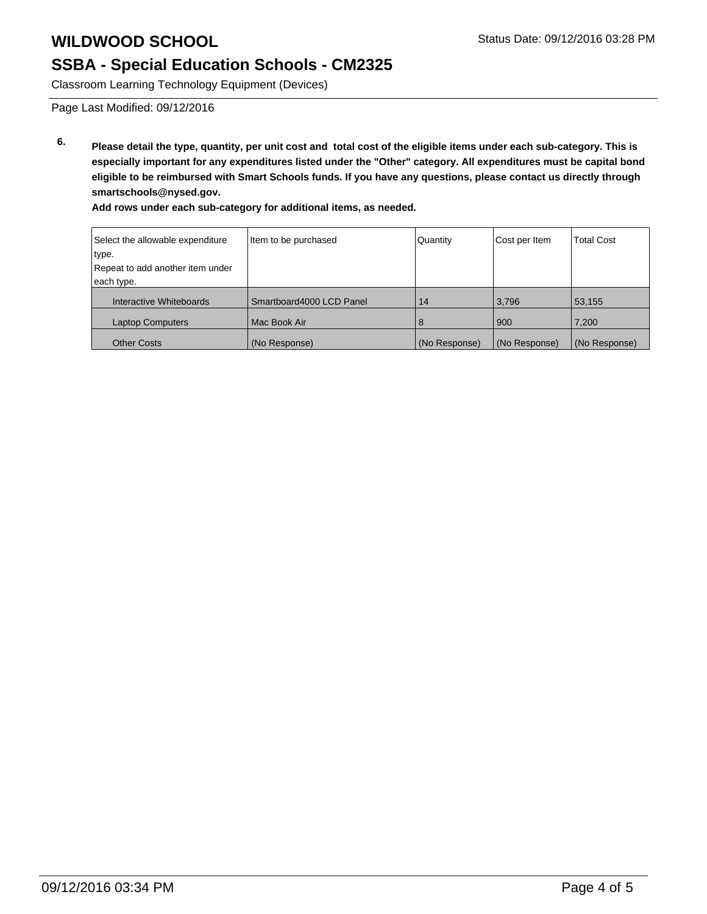# **SSBA - Special Education Schools - CM2325**

Classroom Learning Technology Equipment (Devices)

Page Last Modified: 09/12/2016

**6. Please detail the type, quantity, per unit cost and total cost of the eligible items under each sub-category. This is especially important for any expenditures listed under the "Other" category. All expenditures must be capital bond eligible to be reimbursed with Smart Schools funds. If you have any questions, please contact us directly through smartschools@nysed.gov.**

**Add rows under each sub-category for additional items, as needed.**

| Select the allowable expenditure | Item to be purchased     | Quantity      | Cost per Item | <b>Total Cost</b> |
|----------------------------------|--------------------------|---------------|---------------|-------------------|
| type.                            |                          |               |               |                   |
| Repeat to add another item under |                          |               |               |                   |
| each type.                       |                          |               |               |                   |
| Interactive Whiteboards          | Smartboard4000 LCD Panel | 14            | 3,796         | 53,155            |
| <b>Laptop Computers</b>          | Mac Book Air             | 8             | 900           | 7,200             |
| <b>Other Costs</b>               | (No Response)            | (No Response) | (No Response) | (No Response)     |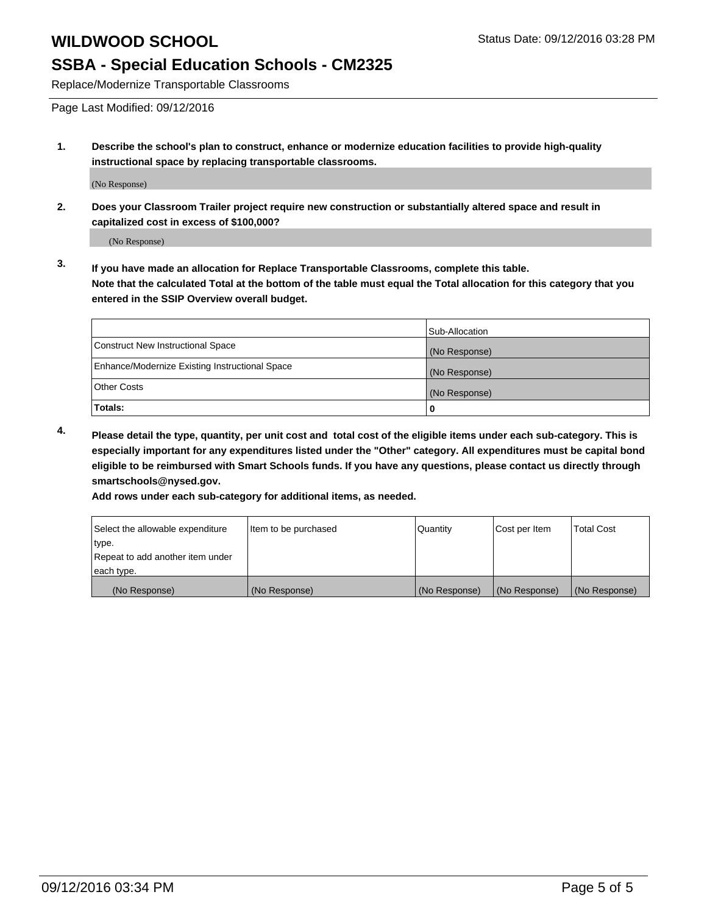### **SSBA - Special Education Schools - CM2325**

Replace/Modernize Transportable Classrooms

Page Last Modified: 09/12/2016

**1. Describe the school's plan to construct, enhance or modernize education facilities to provide high-quality instructional space by replacing transportable classrooms.**

(No Response)

**2. Does your Classroom Trailer project require new construction or substantially altered space and result in capitalized cost in excess of \$100,000?**

(No Response)

**3. If you have made an allocation for Replace Transportable Classrooms, complete this table. Note that the calculated Total at the bottom of the table must equal the Total allocation for this category that you entered in the SSIP Overview overall budget.**

|                                                | Sub-Allocation |
|------------------------------------------------|----------------|
| <b>Construct New Instructional Space</b>       | (No Response)  |
| Enhance/Modernize Existing Instructional Space | (No Response)  |
| <b>Other Costs</b>                             | (No Response)  |
| <b>Totals:</b>                                 |                |

**4. Please detail the type, quantity, per unit cost and total cost of the eligible items under each sub-category. This is especially important for any expenditures listed under the "Other" category. All expenditures must be capital bond eligible to be reimbursed with Smart Schools funds. If you have any questions, please contact us directly through smartschools@nysed.gov.**

**Add rows under each sub-category for additional items, as needed.**

| Select the allowable expenditure | litem to be purchased | Quantity      | Cost per Item | <b>Total Cost</b> |
|----------------------------------|-----------------------|---------------|---------------|-------------------|
| ∣type.                           |                       |               |               |                   |
| Repeat to add another item under |                       |               |               |                   |
| each type.                       |                       |               |               |                   |
| (No Response)                    | (No Response)         | (No Response) | (No Response) | (No Response)     |